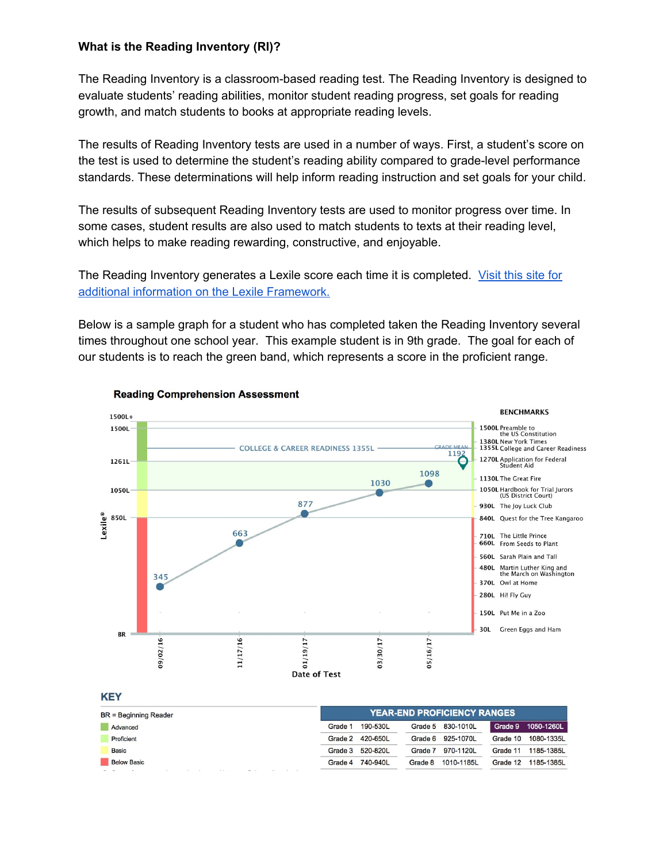## **What is the Reading Inventory (RI)?**

The Reading Inventory is a classroom-based reading test. The Reading Inventory is designed to evaluate students' reading abilities, monitor student reading progress, set goals for reading growth, and match students to books at appropriate reading levels.

The results of Reading Inventory tests are used in a number of ways. First, a student's score on the test is used to determine the student's reading ability compared to grade-level performance standards. These determinations will help inform reading instruction and set goals for your child.

The results of subsequent Reading Inventory tests are used to monitor progress over time. In some cases, student results are also used to match students to texts at their reading level, which helps to make reading rewarding, constructive, and enjoyable.

The Reading Inventory generates a Lexile score each time it is completed. [Visit](https://lexile.com/about-lexile/lexile-video/) this site for additional information on the Lexile [Framework.](https://lexile.com/about-lexile/lexile-video/)

Below is a sample graph for a student who has completed taken the Reading Inventory several times throughout one school year. This example student is in 9th grade. The goal for each of our students is to reach the green band, which represents a score in the proficient range.



## **Reading Comprehension Assessment**

| <b>BR</b> = Beginning Reader | <b>YEAR-END PROFICIENCY RANGES</b> |                       |                       |
|------------------------------|------------------------------------|-----------------------|-----------------------|
| Advanced                     | 190-530L<br>Grade 1                | Grade 5 830-1010L     | Grade 9 1050-1260L    |
| Proficient                   | Grade 2<br>420-650L                | Grade 6 925-1070L     | 1080-1335<br>Grade 10 |
| Basic                        | 520-820L<br>Grade 3                | 970-1120L<br>Grade 7  | 1185-1385<br>Grade 11 |
| <b>Below Basic</b>           | 740-940L<br>Grade 4                | 1010-1185L<br>Grade 8 | 1185-1385<br>Grade 12 |
|                              |                                    |                       |                       |